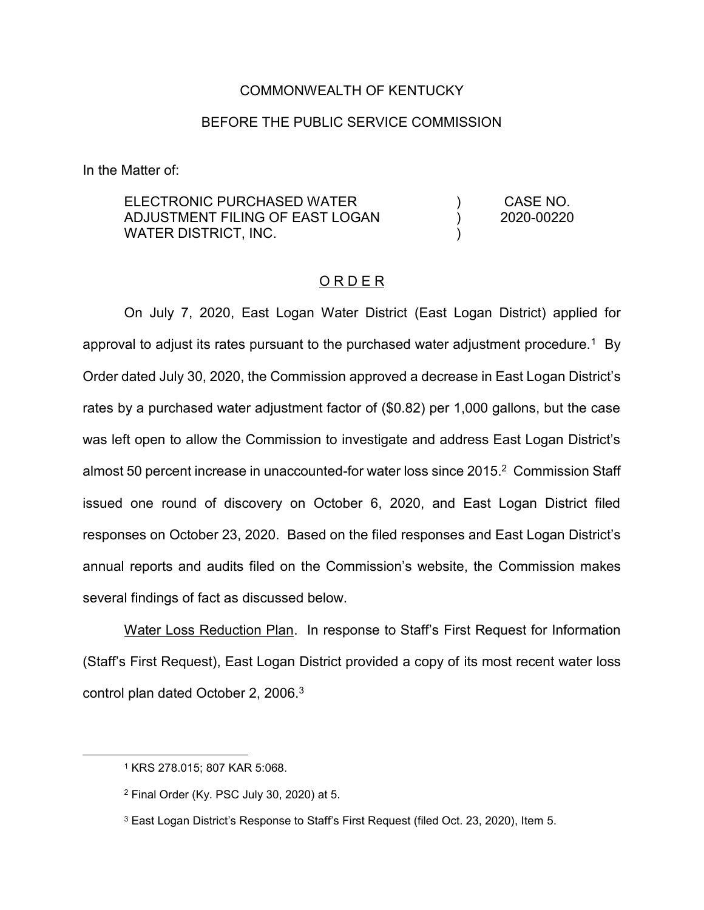## COMMONWEALTH OF KENTUCKY

## BEFORE THE PUBLIC SERVICE COMMISSION

In the Matter of:

ELECTRONIC PURCHASED WATER ADJUSTMENT FILING OF EAST LOGAN WATER DISTRICT, INC. ) ) )

CASE NO. 2020-00220

## O R D E R

On July 7, 2020, East Logan Water District (East Logan District) applied for approval to adjust its rates pursuant to the purchased water adjustment procedure.<sup>1</sup> By Order dated July 30, 2020, the Commission approved a decrease in East Logan District's rates by a purchased water adjustment factor of (\$0.82) per 1,000 gallons, but the case was left open to allow the Commission to investigate and address East Logan District's almost 50 percent increase in unaccounted-for water loss since 2015.2 Commission Staff issued one round of discovery on October 6, 2020, and East Logan District filed responses on October 23, 2020. Based on the filed responses and East Logan District's annual reports and audits filed on the Commission's website, the Commission makes several findings of fact as discussed below.

Water Loss Reduction Plan. In response to Staff's First Request for Information (Staff's First Request), East Logan District provided a copy of its most recent water loss control plan dated October 2, 2006.3

 <sup>1</sup> KRS 278.015; 807 KAR 5:068.

<sup>2</sup> Final Order (Ky. PSC July 30, 2020) at 5.

<sup>3</sup> East Logan District's Response to Staff's First Request (filed Oct. 23, 2020), Item 5.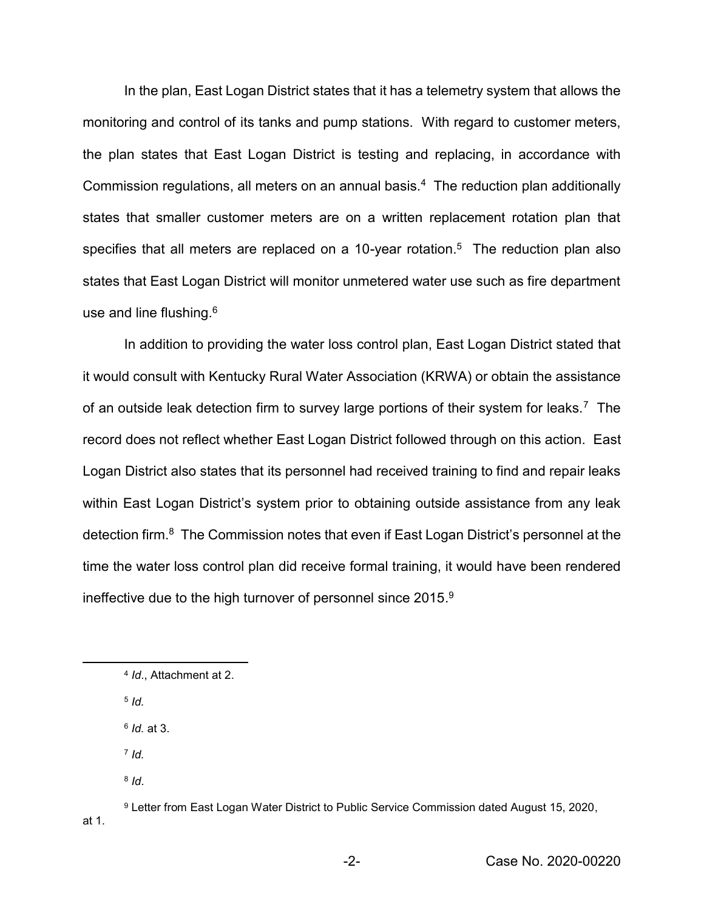In the plan, East Logan District states that it has a telemetry system that allows the monitoring and control of its tanks and pump stations. With regard to customer meters, the plan states that East Logan District is testing and replacing, in accordance with Commission regulations, all meters on an annual basis.<sup>4</sup> The reduction plan additionally states that smaller customer meters are on a written replacement rotation plan that specifies that all meters are replaced on a 10-year rotation.<sup>5</sup> The reduction plan also states that East Logan District will monitor unmetered water use such as fire department use and line flushing.<sup>6</sup>

In addition to providing the water loss control plan, East Logan District stated that it would consult with Kentucky Rural Water Association (KRWA) or obtain the assistance of an outside leak detection firm to survey large portions of their system for leaks.<sup>7</sup> The record does not reflect whether East Logan District followed through on this action. East Logan District also states that its personnel had received training to find and repair leaks within East Logan District's system prior to obtaining outside assistance from any leak detection firm.8 The Commission notes that even if East Logan District's personnel at the time the water loss control plan did receive formal training, it would have been rendered ineffective due to the high turnover of personnel since 2015. $9$ 

- <sup>5</sup> *Id.*
- <sup>6</sup> *Id.* at 3.
- <sup>7</sup> *Id.*
- <sup>8</sup> *Id*.

 <sup>4</sup> *Id*., Attachment at 2.

<sup>9</sup> Letter from East Logan Water District to Public Service Commission dated August 15, 2020, at 1.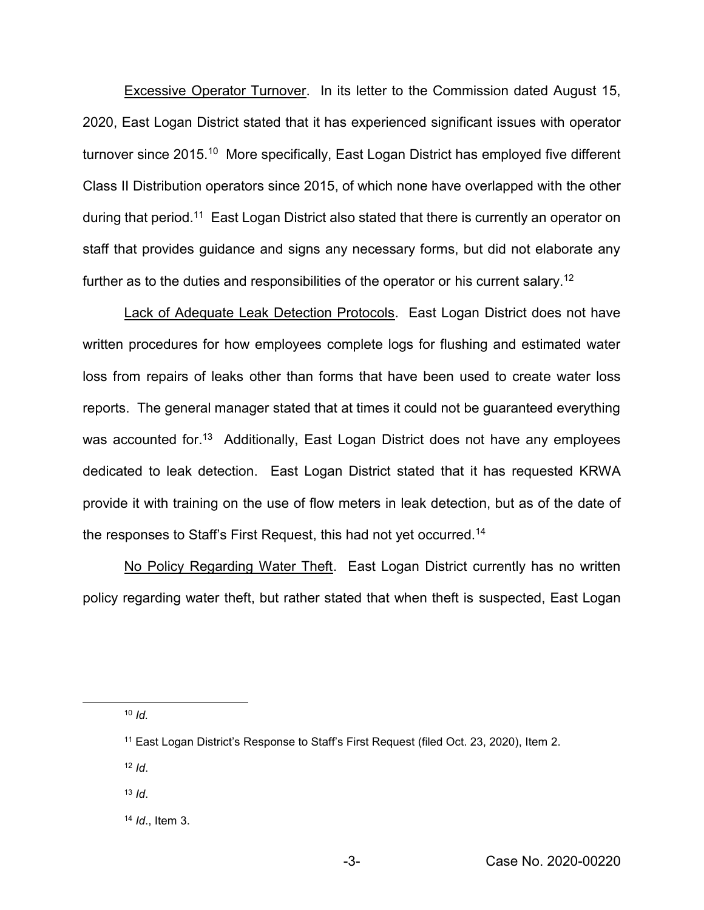**Excessive Operator Turnover.** In its letter to the Commission dated August 15, 2020, East Logan District stated that it has experienced significant issues with operator turnover since 2015.10 More specifically, East Logan District has employed five different Class II Distribution operators since 2015, of which none have overlapped with the other during that period.11 East Logan District also stated that there is currently an operator on staff that provides guidance and signs any necessary forms, but did not elaborate any further as to the duties and responsibilities of the operator or his current salary.<sup>12</sup>

Lack of Adequate Leak Detection Protocols. East Logan District does not have written procedures for how employees complete logs for flushing and estimated water loss from repairs of leaks other than forms that have been used to create water loss reports. The general manager stated that at times it could not be guaranteed everything was accounted for.<sup>13</sup> Additionally, East Logan District does not have any employees dedicated to leak detection. East Logan District stated that it has requested KRWA provide it with training on the use of flow meters in leak detection, but as of the date of the responses to Staff's First Request, this had not yet occurred.14

No Policy Regarding Water Theft. East Logan District currently has no written policy regarding water theft, but rather stated that when theft is suspected, East Logan

10 *Id.*

- $12$  *Id*.
- <sup>13</sup> *Id*.

<sup>11</sup> East Logan District's Response to Staff's First Request (filed Oct. 23, 2020), Item 2.

<sup>14</sup> *Id*., Item 3.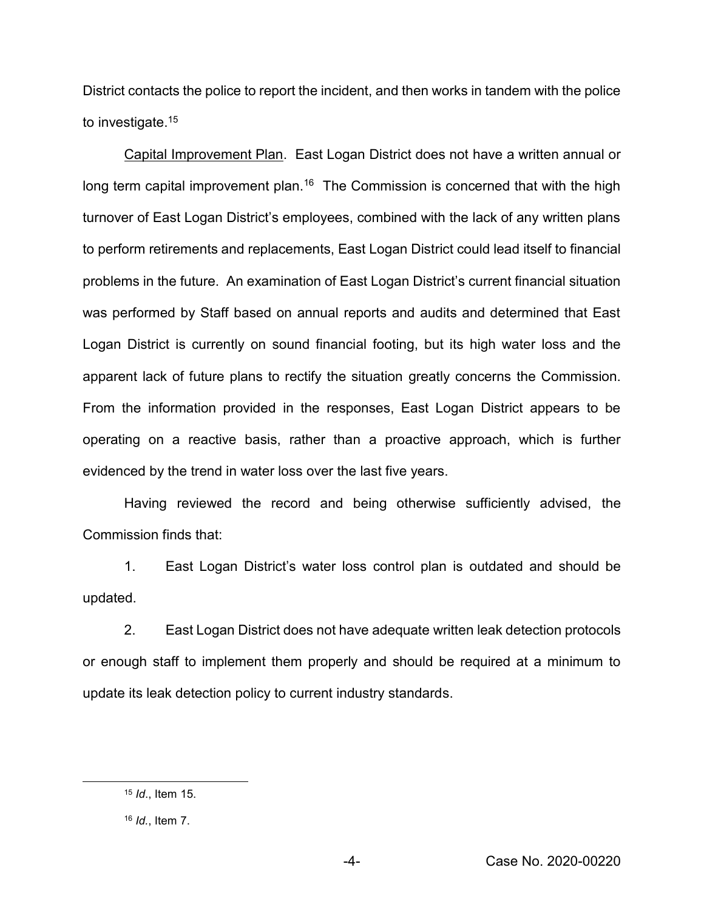District contacts the police to report the incident, and then works in tandem with the police to investigate.<sup>15</sup>

Capital Improvement Plan. East Logan District does not have a written annual or long term capital improvement plan.<sup>16</sup> The Commission is concerned that with the high turnover of East Logan District's employees, combined with the lack of any written plans to perform retirements and replacements, East Logan District could lead itself to financial problems in the future. An examination of East Logan District's current financial situation was performed by Staff based on annual reports and audits and determined that East Logan District is currently on sound financial footing, but its high water loss and the apparent lack of future plans to rectify the situation greatly concerns the Commission. From the information provided in the responses, East Logan District appears to be operating on a reactive basis, rather than a proactive approach, which is further evidenced by the trend in water loss over the last five years.

Having reviewed the record and being otherwise sufficiently advised, the Commission finds that:

1. East Logan District's water loss control plan is outdated and should be updated.

2. East Logan District does not have adequate written leak detection protocols or enough staff to implement them properly and should be required at a minimum to update its leak detection policy to current industry standards.

 <sup>15</sup> *Id*., Item 15.

<sup>16</sup> *Id.*, Item 7.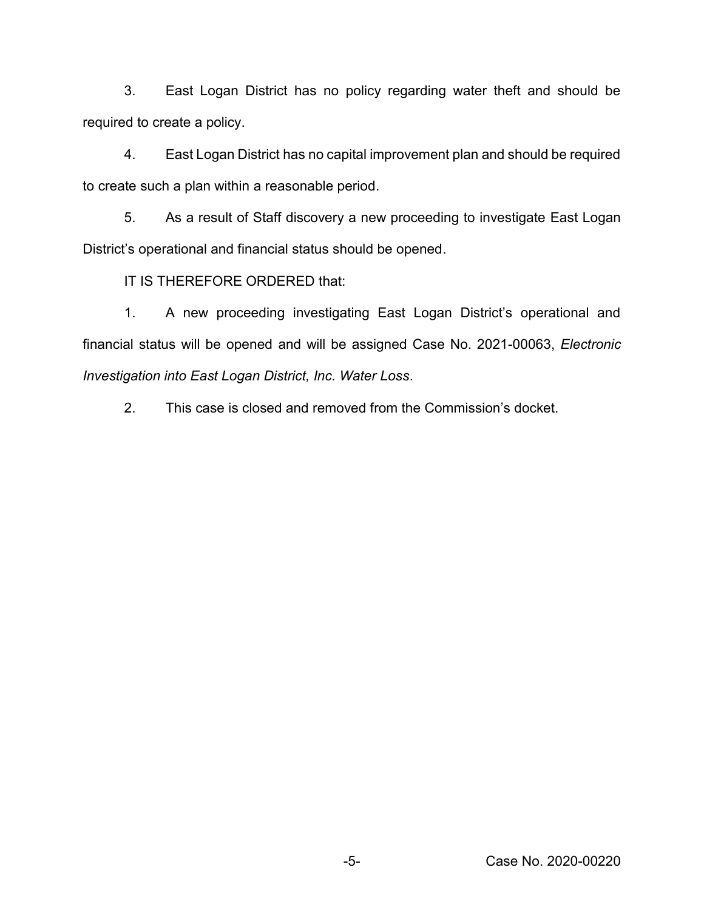3. East Logan District has no policy regarding water theft and should be required to create a policy.

4. East Logan District has no capital improvement plan and should be required to create such a plan within a reasonable period.

5. As a result of Staff discovery a new proceeding to investigate East Logan District's operational and financial status should be opened.

IT IS THEREFORE ORDERED that:

1. A new proceeding investigating East Logan District's operational and financial status will be opened and will be assigned Case No. 2021-00063, *Electronic Investigation into East Logan District, Inc. Water Loss*.

2. This case is closed and removed from the Commission's docket.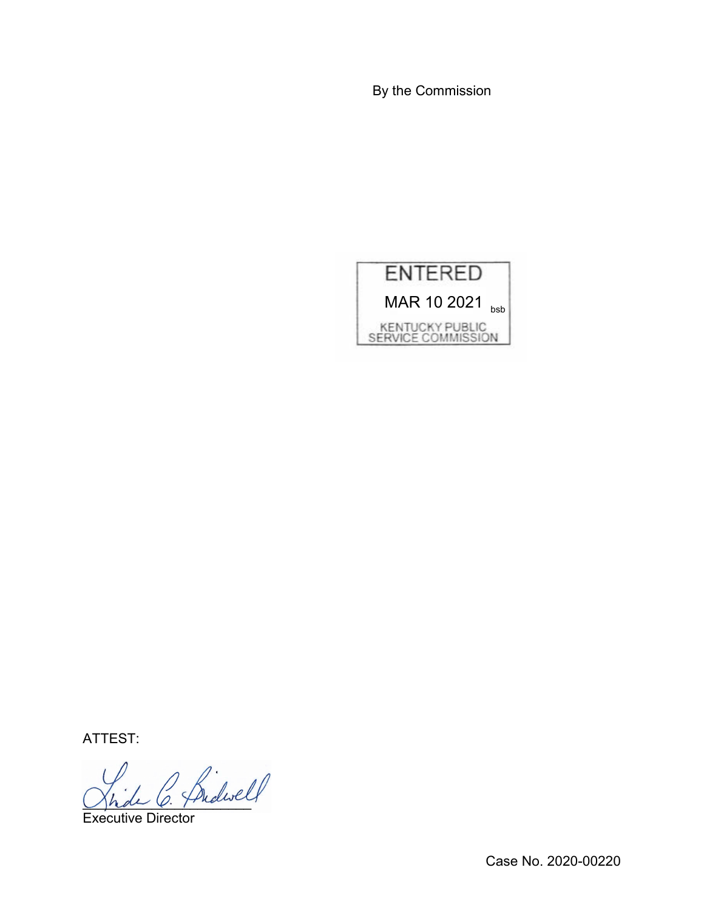By the Commission



ATTEST:

2 Bidwell

Executive Director

Case No. 2020-00220